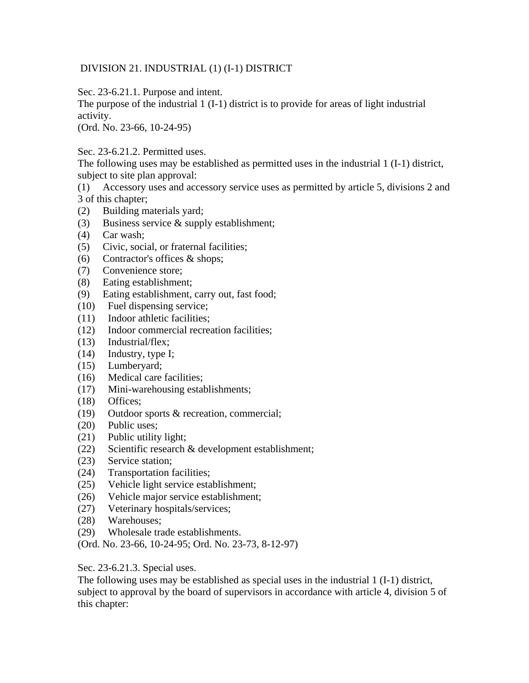## DIVISION 21. INDUSTRIAL (1) (I-1) DISTRICT

Sec. 23-6.21.1. Purpose and intent.

The purpose of the industrial 1 (I-1) district is to provide for areas of light industrial activity.

(Ord. No. 23-66, 10-24-95)

Sec. 23-6.21.2. Permitted uses.

The following uses may be established as permitted uses in the industrial 1 (I-1) district, subject to site plan approval:

- (1) Accessory uses and accessory service uses as permitted by article 5, divisions 2 and 3 of this chapter;
- (2) Building materials yard;
- (3) Business service & supply establishment;
- (4) Car wash;
- (5) Civic, social, or fraternal facilities;
- (6) Contractor's offices & shops;
- (7) Convenience store;
- (8) Eating establishment;
- (9) Eating establishment, carry out, fast food;
- (10) Fuel dispensing service;
- (11) Indoor athletic facilities;
- (12) Indoor commercial recreation facilities;
- (13) Industrial/flex;
- (14) Industry, type I;
- (15) Lumberyard;
- (16) Medical care facilities;
- (17) Mini-warehousing establishments;
- (18) Offices;
- (19) Outdoor sports & recreation, commercial;
- (20) Public uses;
- (21) Public utility light;
- (22) Scientific research & development establishment;
- (23) Service station;
- (24) Transportation facilities;
- (25) Vehicle light service establishment;
- (26) Vehicle major service establishment;
- (27) Veterinary hospitals/services;
- (28) Warehouses;
- (29) Wholesale trade establishments.
- (Ord. No. 23-66, 10-24-95; Ord. No. 23-73, 8-12-97)

Sec. 23-6.21.3. Special uses.

The following uses may be established as special uses in the industrial 1 (I-1) district, subject to approval by the board of supervisors in accordance with article 4, division 5 of this chapter: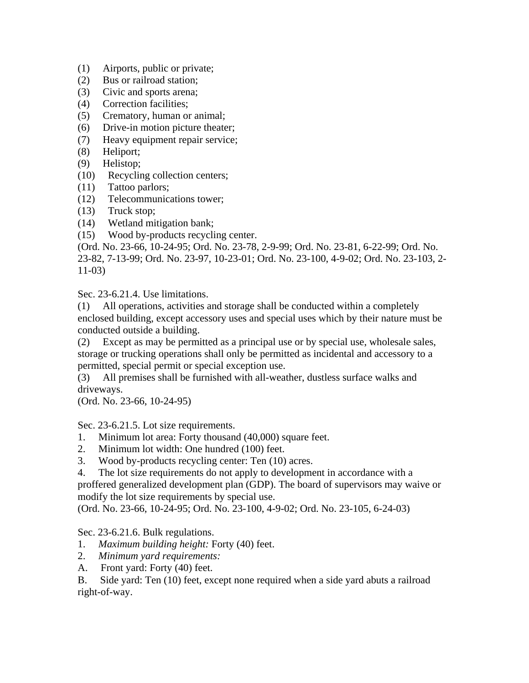- (1) Airports, public or private;
- (2) Bus or railroad station;
- (3) Civic and sports arena;
- (4) Correction facilities;
- (5) Crematory, human or animal;
- (6) Drive-in motion picture theater;
- (7) Heavy equipment repair service;
- (8) Heliport;
- (9) Helistop;
- (10) Recycling collection centers;
- (11) Tattoo parlors;
- (12) Telecommunications tower;
- (13) Truck stop;
- (14) Wetland mitigation bank;
- (15) Wood by-products recycling center.

(Ord. No. 23-66, 10-24-95; Ord. No. 23-78, 2-9-99; Ord. No. 23-81, 6-22-99; Ord. No. 23-82, 7-13-99; Ord. No. 23-97, 10-23-01; Ord. No. 23-100, 4-9-02; Ord. No. 23-103, 2- 11-03)

Sec. 23-6.21.4. Use limitations.

(1) All operations, activities and storage shall be conducted within a completely enclosed building, except accessory uses and special uses which by their nature must be conducted outside a building.

(2) Except as may be permitted as a principal use or by special use, wholesale sales, storage or trucking operations shall only be permitted as incidental and accessory to a permitted, special permit or special exception use.

(3) All premises shall be furnished with all-weather, dustless surface walks and driveways.

(Ord. No. 23-66, 10-24-95)

Sec. 23-6.21.5. Lot size requirements.

- 1. Minimum lot area: Forty thousand (40,000) square feet.
- 2. Minimum lot width: One hundred (100) feet.
- 3. Wood by-products recycling center: Ten (10) acres.

4. The lot size requirements do not apply to development in accordance with a proffered generalized development plan (GDP). The board of supervisors may waive or modify the lot size requirements by special use.

(Ord. No. 23-66, 10-24-95; Ord. No. 23-100, 4-9-02; Ord. No. 23-105, 6-24-03)

Sec. 23-6.21.6. Bulk regulations.

- 1. *Maximum building height:* Forty (40) feet.
- 2. *Minimum yard requirements:*
- A. Front yard: Forty (40) feet.

B. Side yard: Ten (10) feet, except none required when a side yard abuts a railroad right-of-way.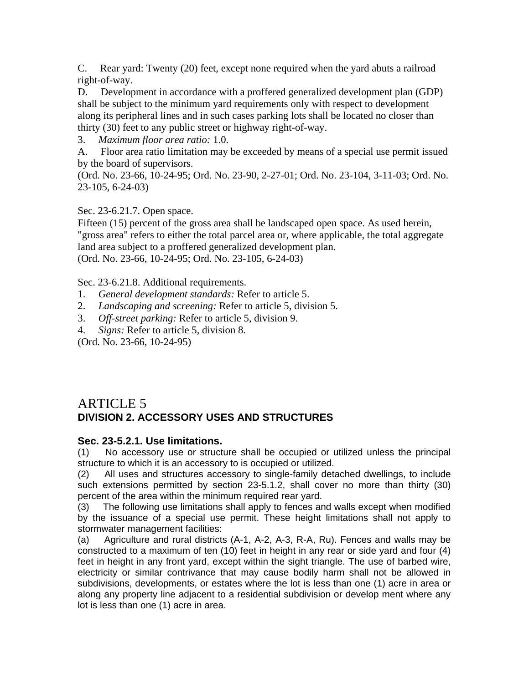C. Rear yard: Twenty (20) feet, except none required when the yard abuts a railroad right-of-way.

D. Development in accordance with a proffered generalized development plan (GDP) shall be subject to the minimum yard requirements only with respect to development along its peripheral lines and in such cases parking lots shall be located no closer than thirty (30) feet to any public street or highway right-of-way.

3. *Maximum floor area ratio:* 1.0.

A. Floor area ratio limitation may be exceeded by means of a special use permit issued by the board of supervisors.

(Ord. No. 23-66, 10-24-95; Ord. No. 23-90, 2-27-01; Ord. No. 23-104, 3-11-03; Ord. No. 23-105, 6-24-03)

Sec. 23-6.21.7. Open space.

Fifteen (15) percent of the gross area shall be landscaped open space. As used herein, "gross area" refers to either the total parcel area or, where applicable, the total aggregate land area subject to a proffered generalized development plan. (Ord. No. 23-66, 10-24-95; Ord. No. 23-105, 6-24-03)

Sec. 23-6.21.8. Additional requirements.

- 1. *General development standards:* Refer to article 5.
- 2. *Landscaping and screening:* Refer to article 5, division 5.
- 3. *Off-street parking:* Refer to article 5, division 9.
- 4. *Signs:* Refer to article 5, division 8.

(Ord. No. 23-66, 10-24-95)

## ARTICLE 5 **DIVISION 2. ACCESSORY USES AND STRUCTURES**

## **Sec. 23-5.2.1. Use limitations.**

(1) No accessory use or structure shall be occupied or utilized unless the principal structure to which it is an accessory to is occupied or utilized.

(2) All uses and structures accessory to single-family detached dwellings, to include such extensions permitted by section 23-5.1.2, shall cover no more than thirty (30) percent of the area within the minimum required rear yard.

(3) The following use limitations shall apply to fences and walls except when modified by the issuance of a special use permit. These height limitations shall not apply to stormwater management facilities:

(a) Agriculture and rural districts (A-1, A-2, A-3, R-A, Ru). Fences and walls may be constructed to a maximum of ten (10) feet in height in any rear or side yard and four (4) feet in height in any front yard, except within the sight triangle. The use of barbed wire, electricity or similar contrivance that may cause bodily harm shall not be allowed in subdivisions, developments, or estates where the lot is less than one (1) acre in area or along any property line adjacent to a residential subdivision or develop ment where any lot is less than one (1) acre in area.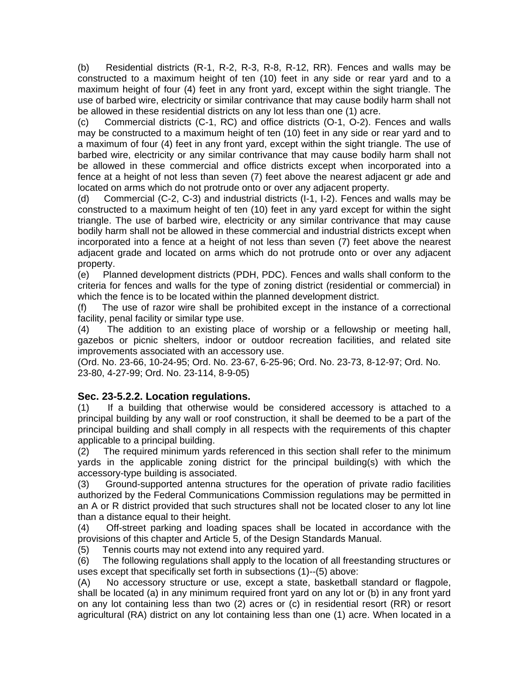(b) Residential districts (R-1, R-2, R-3, R-8, R-12, RR). Fences and walls may be constructed to a maximum height of ten (10) feet in any side or rear yard and to a maximum height of four (4) feet in any front yard, except within the sight triangle. The use of barbed wire, electricity or similar contrivance that may cause bodily harm shall not be allowed in these residential districts on any lot less than one (1) acre.

(c) Commercial districts (C-1, RC) and office districts (O-1, O-2). Fences and walls may be constructed to a maximum height of ten (10) feet in any side or rear yard and to a maximum of four (4) feet in any front yard, except within the sight triangle. The use of barbed wire, electricity or any similar contrivance that may cause bodily harm shall not be allowed in these commercial and office districts except when incorporated into a fence at a height of not less than seven (7) feet above the nearest adjacent gr ade and located on arms which do not protrude onto or over any adjacent property.

(d) Commercial (C-2, C-3) and industrial districts (I-1, I-2). Fences and walls may be constructed to a maximum height of ten (10) feet in any yard except for within the sight triangle. The use of barbed wire, electricity or any similar contrivance that may cause bodily harm shall not be allowed in these commercial and industrial districts except when incorporated into a fence at a height of not less than seven (7) feet above the nearest adjacent grade and located on arms which do not protrude onto or over any adjacent property.

(e) Planned development districts (PDH, PDC). Fences and walls shall conform to the criteria for fences and walls for the type of zoning district (residential or commercial) in which the fence is to be located within the planned development district.

(f) The use of razor wire shall be prohibited except in the instance of a correctional facility, penal facility or similar type use.

(4) The addition to an existing place of worship or a fellowship or meeting hall, gazebos or picnic shelters, indoor or outdoor recreation facilities, and related site improvements associated with an accessory use.

(Ord. No. 23-66, 10-24-95; Ord. No. 23-67, 6-25-96; Ord. No. 23-73, 8-12-97; Ord. No. 23-80, 4-27-99; Ord. No. 23-114, 8-9-05)

## **Sec. 23-5.2.2. Location regulations.**

(1) If a building that otherwise would be considered accessory is attached to a principal building by any wall or roof construction, it shall be deemed to be a part of the principal building and shall comply in all respects with the requirements of this chapter applicable to a principal building.

(2) The required minimum yards referenced in this section shall refer to the minimum yards in the applicable zoning district for the principal building(s) with which the accessory-type building is associated.

(3) Ground-supported antenna structures for the operation of private radio facilities authorized by the Federal Communications Commission regulations may be permitted in an A or R district provided that such structures shall not be located closer to any lot line than a distance equal to their height.

(4) Off-street parking and loading spaces shall be located in accordance with the provisions of this chapter and Article 5, of the Design Standards Manual.

(5) Tennis courts may not extend into any required yard.

(6) The following regulations shall apply to the location of all freestanding structures or uses except that specifically set forth in subsections (1)--(5) above:

(A) No accessory structure or use, except a state, basketball standard or flagpole, shall be located (a) in any minimum required front yard on any lot or (b) in any front yard on any lot containing less than two (2) acres or (c) in residential resort (RR) or resort agricultural (RA) district on any lot containing less than one (1) acre. When located in a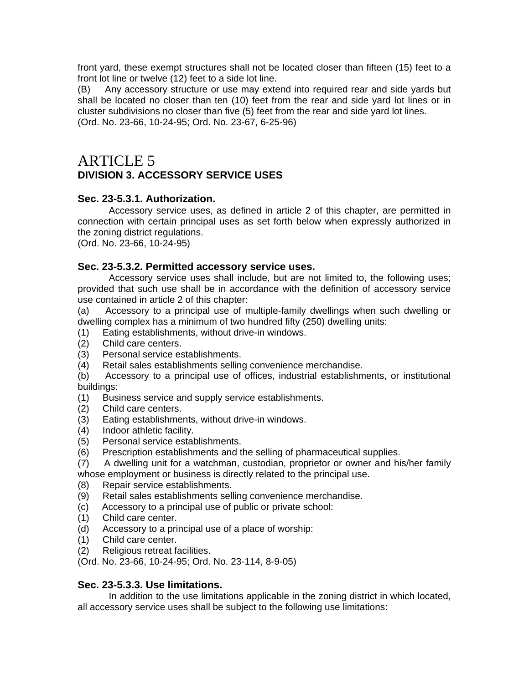front yard, these exempt structures shall not be located closer than fifteen (15) feet to a front lot line or twelve (12) feet to a side lot line.

(B) Any accessory structure or use may extend into required rear and side yards but shall be located no closer than ten (10) feet from the rear and side yard lot lines or in cluster subdivisions no closer than five (5) feet from the rear and side yard lot lines. (Ord. No. 23-66, 10-24-95; Ord. No. 23-67, 6-25-96)

# ARTICLE 5 **DIVISION 3. ACCESSORY SERVICE USES**

#### **Sec. 23-5.3.1. Authorization.**

Accessory service uses, as defined in article 2 of this chapter, are permitted in connection with certain principal uses as set forth below when expressly authorized in the zoning district regulations.

(Ord. No. 23-66, 10-24-95)

#### **Sec. 23-5.3.2. Permitted accessory service uses.**

Accessory service uses shall include, but are not limited to, the following uses; provided that such use shall be in accordance with the definition of accessory service use contained in article 2 of this chapter:

(a) Accessory to a principal use of multiple-family dwellings when such dwelling or dwelling complex has a minimum of two hundred fifty (250) dwelling units:

- (1) Eating establishments, without drive-in windows.
- (2) Child care centers.
- (3) Personal service establishments.
- (4) Retail sales establishments selling convenience merchandise.
- (b) Accessory to a principal use of offices, industrial establishments, or institutional buildings:
- (1) Business service and supply service establishments.
- (2) Child care centers.
- (3) Eating establishments, without drive-in windows.
- (4) Indoor athletic facility.
- (5) Personal service establishments.
- (6) Prescription establishments and the selling of pharmaceutical supplies.
- (7) A dwelling unit for a watchman, custodian, proprietor or owner and his/her family whose employment or business is directly related to the principal use.
- (8) Repair service establishments.
- (9) Retail sales establishments selling convenience merchandise.
- (c) Accessory to a principal use of public or private school:
- (1) Child care center.
- (d) Accessory to a principal use of a place of worship:
- (1) Child care center.
- (2) Religious retreat facilities.

(Ord. No. 23-66, 10-24-95; Ord. No. 23-114, 8-9-05)

#### **Sec. 23-5.3.3. Use limitations.**

In addition to the use limitations applicable in the zoning district in which located, all accessory service uses shall be subject to the following use limitations: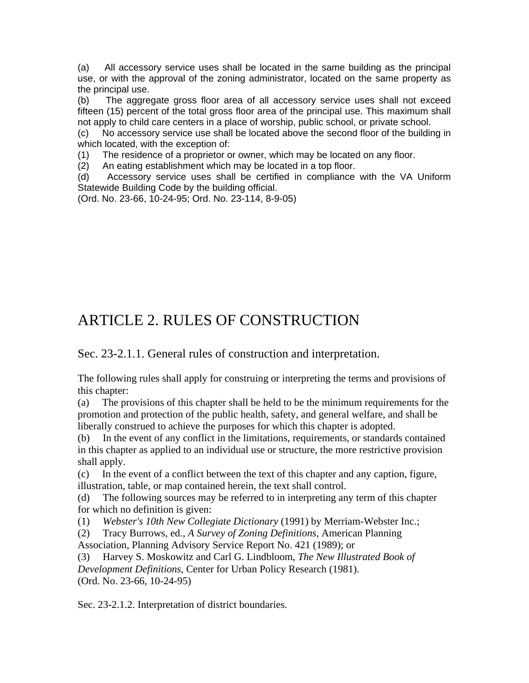(a) All accessory service uses shall be located in the same building as the principal use, or with the approval of the zoning administrator, located on the same property as the principal use.

(b) The aggregate gross floor area of all accessory service uses shall not exceed fifteen (15) percent of the total gross floor area of the principal use. This maximum shall not apply to child care centers in a place of worship, public school, or private school.

(c) No accessory service use shall be located above the second floor of the building in which located, with the exception of:

(1) The residence of a proprietor or owner, which may be located on any floor.

(2) An eating establishment which may be located in a top floor.

(d) Accessory service uses shall be certified in compliance with the VA Uniform Statewide Building Code by the building official.

(Ord. No. 23-66, 10-24-95; Ord. No. 23-114, 8-9-05)

# ARTICLE 2. RULES OF CONSTRUCTION

Sec. 23-2.1.1. General rules of construction and interpretation.

The following rules shall apply for construing or interpreting the terms and provisions of this chapter:

(a) The provisions of this chapter shall be held to be the minimum requirements for the promotion and protection of the public health, safety, and general welfare, and shall be liberally construed to achieve the purposes for which this chapter is adopted.

(b) In the event of any conflict in the limitations, requirements, or standards contained in this chapter as applied to an individual use or structure, the more restrictive provision shall apply.

(c) In the event of a conflict between the text of this chapter and any caption, figure, illustration, table, or map contained herein, the text shall control.

(d) The following sources may be referred to in interpreting any term of this chapter for which no definition is given:

(1) *Webster's 10th New Collegiate Dictionary* (1991) by Merriam-Webster Inc.;

(2) Tracy Burrows, ed., *A Survey of Zoning Definitions,* American Planning Association, Planning Advisory Service Report No. 421 (1989); or

(3) Harvey S. Moskowitz and Carl G. Lindbloom, *The New Illustrated Book of Development Definitions,* Center for Urban Policy Research (1981). (Ord. No. 23-66, 10-24-95)

Sec. 23-2.1.2. Interpretation of district boundaries.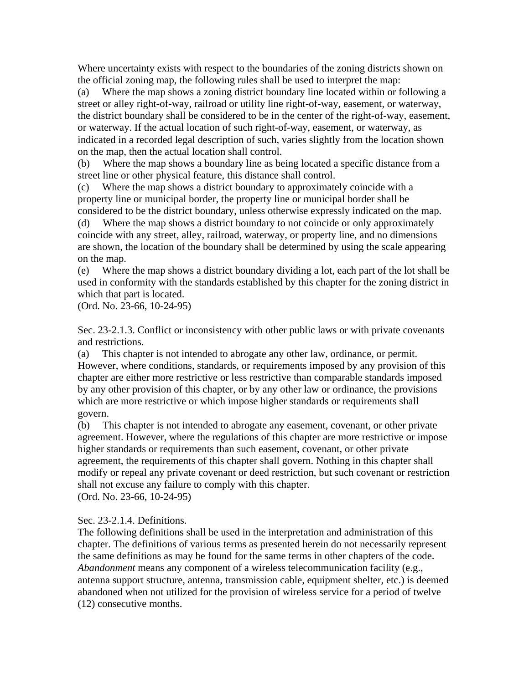Where uncertainty exists with respect to the boundaries of the zoning districts shown on the official zoning map, the following rules shall be used to interpret the map:

(a) Where the map shows a zoning district boundary line located within or following a street or alley right-of-way, railroad or utility line right-of-way, easement, or waterway, the district boundary shall be considered to be in the center of the right-of-way, easement, or waterway. If the actual location of such right-of-way, easement, or waterway, as indicated in a recorded legal description of such, varies slightly from the location shown on the map, then the actual location shall control.

(b) Where the map shows a boundary line as being located a specific distance from a street line or other physical feature, this distance shall control.

(c) Where the map shows a district boundary to approximately coincide with a property line or municipal border, the property line or municipal border shall be considered to be the district boundary, unless otherwise expressly indicated on the map.

(d) Where the map shows a district boundary to not coincide or only approximately coincide with any street, alley, railroad, waterway, or property line, and no dimensions are shown, the location of the boundary shall be determined by using the scale appearing on the map.

(e) Where the map shows a district boundary dividing a lot, each part of the lot shall be used in conformity with the standards established by this chapter for the zoning district in which that part is located.

(Ord. No. 23-66, 10-24-95)

Sec. 23-2.1.3. Conflict or inconsistency with other public laws or with private covenants and restrictions.

(a) This chapter is not intended to abrogate any other law, ordinance, or permit. However, where conditions, standards, or requirements imposed by any provision of this chapter are either more restrictive or less restrictive than comparable standards imposed by any other provision of this chapter, or by any other law or ordinance, the provisions which are more restrictive or which impose higher standards or requirements shall govern.

(b) This chapter is not intended to abrogate any easement, covenant, or other private agreement. However, where the regulations of this chapter are more restrictive or impose higher standards or requirements than such easement, covenant, or other private agreement, the requirements of this chapter shall govern. Nothing in this chapter shall modify or repeal any private covenant or deed restriction, but such covenant or restriction shall not excuse any failure to comply with this chapter. (Ord. No. 23-66, 10-24-95)

Sec. 23-2.1.4. Definitions.

The following definitions shall be used in the interpretation and administration of this chapter. The definitions of various terms as presented herein do not necessarily represent the same definitions as may be found for the same terms in other chapters of the code. *Abandonment* means any component of a wireless telecommunication facility (e.g., antenna support structure, antenna, transmission cable, equipment shelter, etc.) is deemed abandoned when not utilized for the provision of wireless service for a period of twelve (12) consecutive months.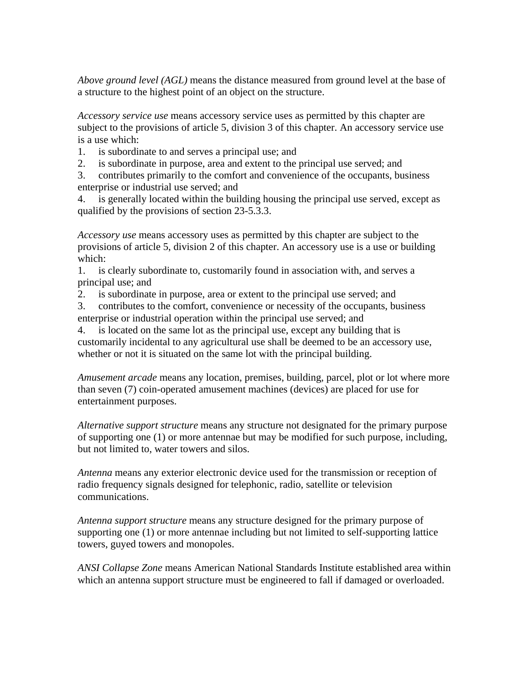*Above ground level (AGL)* means the distance measured from ground level at the base of a structure to the highest point of an object on the structure.

*Accessory service use* means accessory service uses as permitted by this chapter are subject to the provisions of article 5, division 3 of this chapter. An accessory service use is a use which:

- 1. is subordinate to and serves a principal use; and
- 2. is subordinate in purpose, area and extent to the principal use served; and

3. contributes primarily to the comfort and convenience of the occupants, business enterprise or industrial use served; and

4. is generally located within the building housing the principal use served, except as qualified by the provisions of section 23-5.3.3.

*Accessory use* means accessory uses as permitted by this chapter are subject to the provisions of article 5, division 2 of this chapter. An accessory use is a use or building which:

1. is clearly subordinate to, customarily found in association with, and serves a principal use; and

2. is subordinate in purpose, area or extent to the principal use served; and

3. contributes to the comfort, convenience or necessity of the occupants, business enterprise or industrial operation within the principal use served; and

4. is located on the same lot as the principal use, except any building that is customarily incidental to any agricultural use shall be deemed to be an accessory use, whether or not it is situated on the same lot with the principal building.

*Amusement arcade* means any location, premises, building, parcel, plot or lot where more than seven (7) coin-operated amusement machines (devices) are placed for use for entertainment purposes.

*Alternative support structure* means any structure not designated for the primary purpose of supporting one (1) or more antennae but may be modified for such purpose, including, but not limited to, water towers and silos.

*Antenna* means any exterior electronic device used for the transmission or reception of radio frequency signals designed for telephonic, radio, satellite or television communications.

*Antenna support structure* means any structure designed for the primary purpose of supporting one (1) or more antennae including but not limited to self-supporting lattice towers, guyed towers and monopoles.

*ANSI Collapse Zone* means American National Standards Institute established area within which an antenna support structure must be engineered to fall if damaged or overloaded.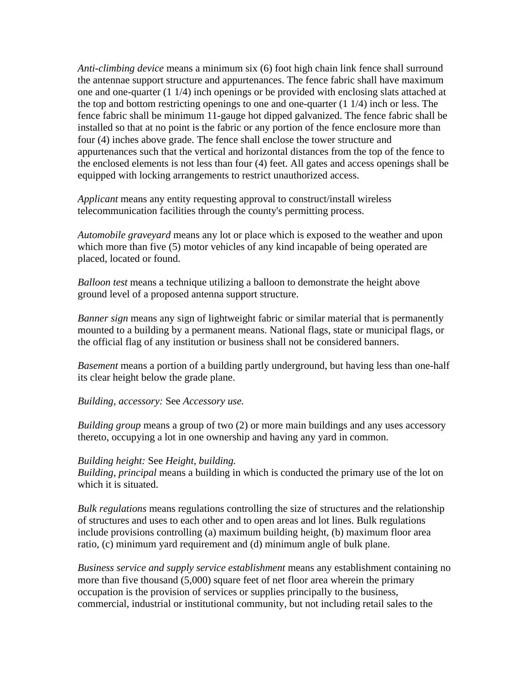*Anti-climbing device* means a minimum six (6) foot high chain link fence shall surround the antennae support structure and appurtenances. The fence fabric shall have maximum one and one-quarter (1 1/4) inch openings or be provided with enclosing slats attached at the top and bottom restricting openings to one and one-quarter (1 1/4) inch or less. The fence fabric shall be minimum 11-gauge hot dipped galvanized. The fence fabric shall be installed so that at no point is the fabric or any portion of the fence enclosure more than four (4) inches above grade. The fence shall enclose the tower structure and appurtenances such that the vertical and horizontal distances from the top of the fence to the enclosed elements is not less than four (4) feet. All gates and access openings shall be equipped with locking arrangements to restrict unauthorized access.

*Applicant* means any entity requesting approval to construct/install wireless telecommunication facilities through the county's permitting process.

*Automobile graveyard* means any lot or place which is exposed to the weather and upon which more than five (5) motor vehicles of any kind incapable of being operated are placed, located or found.

*Balloon test* means a technique utilizing a balloon to demonstrate the height above ground level of a proposed antenna support structure.

*Banner sign* means any sign of lightweight fabric or similar material that is permanently mounted to a building by a permanent means. National flags, state or municipal flags, or the official flag of any institution or business shall not be considered banners.

*Basement* means a portion of a building partly underground, but having less than one-half its clear height below the grade plane.

*Building, accessory:* See *Accessory use.* 

*Building group* means a group of two (2) or more main buildings and any uses accessory thereto, occupying a lot in one ownership and having any yard in common.

#### *Building height:* See *Height, building.*

*Building, principal* means a building in which is conducted the primary use of the lot on which it is situated.

*Bulk regulations* means regulations controlling the size of structures and the relationship of structures and uses to each other and to open areas and lot lines. Bulk regulations include provisions controlling (a) maximum building height, (b) maximum floor area ratio, (c) minimum yard requirement and (d) minimum angle of bulk plane.

*Business service and supply service establishment* means any establishment containing no more than five thousand (5,000) square feet of net floor area wherein the primary occupation is the provision of services or supplies principally to the business, commercial, industrial or institutional community, but not including retail sales to the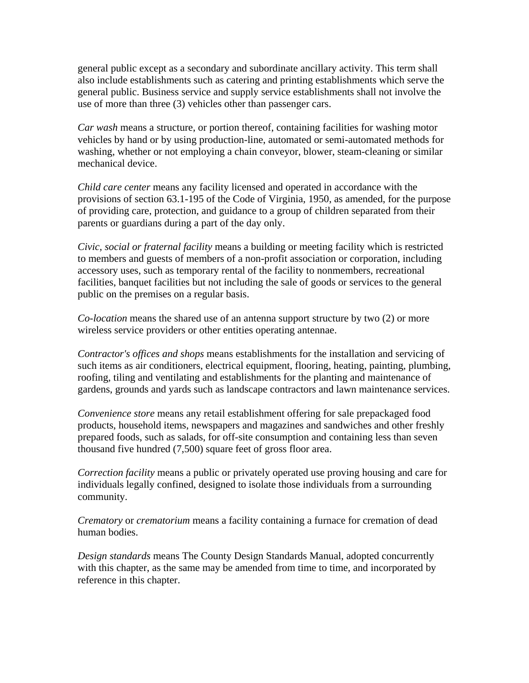general public except as a secondary and subordinate ancillary activity. This term shall also include establishments such as catering and printing establishments which serve the general public. Business service and supply service establishments shall not involve the use of more than three (3) vehicles other than passenger cars.

*Car wash* means a structure, or portion thereof, containing facilities for washing motor vehicles by hand or by using production-line, automated or semi-automated methods for washing, whether or not employing a chain conveyor, blower, steam-cleaning or similar mechanical device.

*Child care center* means any facility licensed and operated in accordance with the provisions of section 63.1-195 of the Code of Virginia, 1950, as amended, for the purpose of providing care, protection, and guidance to a group of children separated from their parents or guardians during a part of the day only.

*Civic, social or fraternal facility* means a building or meeting facility which is restricted to members and guests of members of a non-profit association or corporation, including accessory uses, such as temporary rental of the facility to nonmembers, recreational facilities, banquet facilities but not including the sale of goods or services to the general public on the premises on a regular basis.

*Co-location* means the shared use of an antenna support structure by two (2) or more wireless service providers or other entities operating antennae.

*Contractor's offices and shops* means establishments for the installation and servicing of such items as air conditioners, electrical equipment, flooring, heating, painting, plumbing, roofing, tiling and ventilating and establishments for the planting and maintenance of gardens, grounds and yards such as landscape contractors and lawn maintenance services.

*Convenience store* means any retail establishment offering for sale prepackaged food products, household items, newspapers and magazines and sandwiches and other freshly prepared foods, such as salads, for off-site consumption and containing less than seven thousand five hundred (7,500) square feet of gross floor area.

*Correction facility* means a public or privately operated use proving housing and care for individuals legally confined, designed to isolate those individuals from a surrounding community.

*Crematory* or *crematorium* means a facility containing a furnace for cremation of dead human bodies.

*Design standards* means The County Design Standards Manual, adopted concurrently with this chapter, as the same may be amended from time to time, and incorporated by reference in this chapter.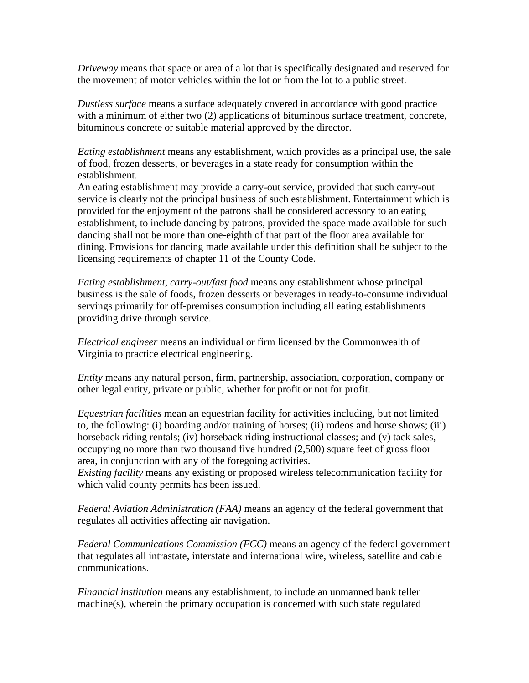*Driveway* means that space or area of a lot that is specifically designated and reserved for the movement of motor vehicles within the lot or from the lot to a public street.

*Dustless surface* means a surface adequately covered in accordance with good practice with a minimum of either two (2) applications of bituminous surface treatment, concrete, bituminous concrete or suitable material approved by the director.

*Eating establishment* means any establishment, which provides as a principal use, the sale of food, frozen desserts, or beverages in a state ready for consumption within the establishment.

An eating establishment may provide a carry-out service, provided that such carry-out service is clearly not the principal business of such establishment. Entertainment which is provided for the enjoyment of the patrons shall be considered accessory to an eating establishment, to include dancing by patrons, provided the space made available for such dancing shall not be more than one-eighth of that part of the floor area available for dining. Provisions for dancing made available under this definition shall be subject to the licensing requirements of chapter 11 of the County Code.

*Eating establishment, carry-out/fast food* means any establishment whose principal business is the sale of foods, frozen desserts or beverages in ready-to-consume individual servings primarily for off-premises consumption including all eating establishments providing drive through service.

*Electrical engineer* means an individual or firm licensed by the Commonwealth of Virginia to practice electrical engineering.

*Entity* means any natural person, firm, partnership, association, corporation, company or other legal entity, private or public, whether for profit or not for profit.

*Equestrian facilities* mean an equestrian facility for activities including, but not limited to, the following: (i) boarding and/or training of horses; (ii) rodeos and horse shows; (iii) horseback riding rentals; (iv) horseback riding instructional classes; and (v) tack sales, occupying no more than two thousand five hundred (2,500) square feet of gross floor area, in conjunction with any of the foregoing activities.

*Existing facility* means any existing or proposed wireless telecommunication facility for which valid county permits has been issued.

*Federal Aviation Administration (FAA)* means an agency of the federal government that regulates all activities affecting air navigation.

*Federal Communications Commission (FCC)* means an agency of the federal government that regulates all intrastate, interstate and international wire, wireless, satellite and cable communications.

*Financial institution* means any establishment, to include an unmanned bank teller machine(s), wherein the primary occupation is concerned with such state regulated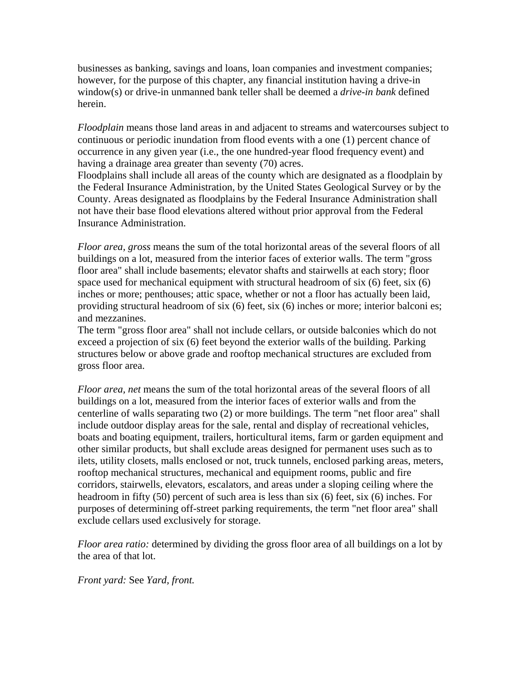businesses as banking, savings and loans, loan companies and investment companies; however, for the purpose of this chapter, any financial institution having a drive-in window(s) or drive-in unmanned bank teller shall be deemed a *drive-in bank* defined herein.

*Floodplain* means those land areas in and adjacent to streams and watercourses subject to continuous or periodic inundation from flood events with a one (1) percent chance of occurrence in any given year (i.e., the one hundred-year flood frequency event) and having a drainage area greater than seventy (70) acres.

Floodplains shall include all areas of the county which are designated as a floodplain by the Federal Insurance Administration, by the United States Geological Survey or by the County. Areas designated as floodplains by the Federal Insurance Administration shall not have their base flood elevations altered without prior approval from the Federal Insurance Administration.

*Floor area, gross* means the sum of the total horizontal areas of the several floors of all buildings on a lot, measured from the interior faces of exterior walls. The term "gross floor area" shall include basements; elevator shafts and stairwells at each story; floor space used for mechanical equipment with structural headroom of six (6) feet, six (6) inches or more; penthouses; attic space, whether or not a floor has actually been laid, providing structural headroom of six (6) feet, six (6) inches or more; interior balconi es; and mezzanines.

The term "gross floor area" shall not include cellars, or outside balconies which do not exceed a projection of six (6) feet beyond the exterior walls of the building. Parking structures below or above grade and rooftop mechanical structures are excluded from gross floor area.

*Floor area, net* means the sum of the total horizontal areas of the several floors of all buildings on a lot, measured from the interior faces of exterior walls and from the centerline of walls separating two (2) or more buildings. The term "net floor area" shall include outdoor display areas for the sale, rental and display of recreational vehicles, boats and boating equipment, trailers, horticultural items, farm or garden equipment and other similar products, but shall exclude areas designed for permanent uses such as to ilets, utility closets, malls enclosed or not, truck tunnels, enclosed parking areas, meters, rooftop mechanical structures, mechanical and equipment rooms, public and fire corridors, stairwells, elevators, escalators, and areas under a sloping ceiling where the headroom in fifty (50) percent of such area is less than six (6) feet, six (6) inches. For purposes of determining off-street parking requirements, the term "net floor area" shall exclude cellars used exclusively for storage.

*Floor area ratio:* determined by dividing the gross floor area of all buildings on a lot by the area of that lot.

*Front yard:* See *Yard, front.*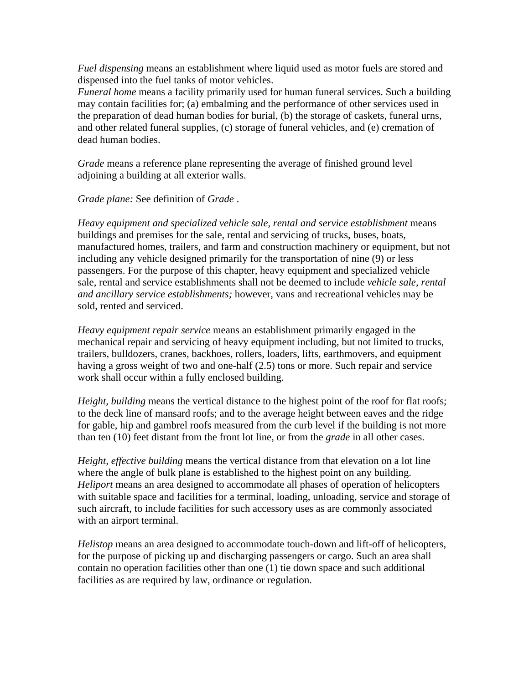*Fuel dispensing* means an establishment where liquid used as motor fuels are stored and dispensed into the fuel tanks of motor vehicles.

*Funeral home* means a facility primarily used for human funeral services. Such a building may contain facilities for; (a) embalming and the performance of other services used in the preparation of dead human bodies for burial, (b) the storage of caskets, funeral urns, and other related funeral supplies, (c) storage of funeral vehicles, and (e) cremation of dead human bodies.

*Grade* means a reference plane representing the average of finished ground level adjoining a building at all exterior walls.

*Grade plane:* See definition of *Grade* .

Heavy equipment and specialized vehicle sale, rental and service establishment means buildings and premises for the sale, rental and servicing of trucks, buses, boats, manufactured homes, trailers, and farm and construction machinery or equipment, but not including any vehicle designed primarily for the transportation of nine (9) or less passengers. For the purpose of this chapter, heavy equipment and specialized vehicle sale, rental and service establishments shall not be deemed to include *vehicle sale, rental and ancillary service establishments;* however, vans and recreational vehicles may be sold, rented and serviced.

*Heavy equipment repair service* means an establishment primarily engaged in the mechanical repair and servicing of heavy equipment including, but not limited to trucks, trailers, bulldozers, cranes, backhoes, rollers, loaders, lifts, earthmovers, and equipment having a gross weight of two and one-half (2.5) tons or more. Such repair and service work shall occur within a fully enclosed building.

*Height, building* means the vertical distance to the highest point of the roof for flat roofs; to the deck line of mansard roofs; and to the average height between eaves and the ridge for gable, hip and gambrel roofs measured from the curb level if the building is not more than ten (10) feet distant from the front lot line, or from the *grade* in all other cases.

*Height, effective building* means the vertical distance from that elevation on a lot line where the angle of bulk plane is established to the highest point on any building. *Heliport* means an area designed to accommodate all phases of operation of helicopters with suitable space and facilities for a terminal, loading, unloading, service and storage of such aircraft, to include facilities for such accessory uses as are commonly associated with an airport terminal.

*Helistop* means an area designed to accommodate touch-down and lift-off of helicopters, for the purpose of picking up and discharging passengers or cargo. Such an area shall contain no operation facilities other than one (1) tie down space and such additional facilities as are required by law, ordinance or regulation.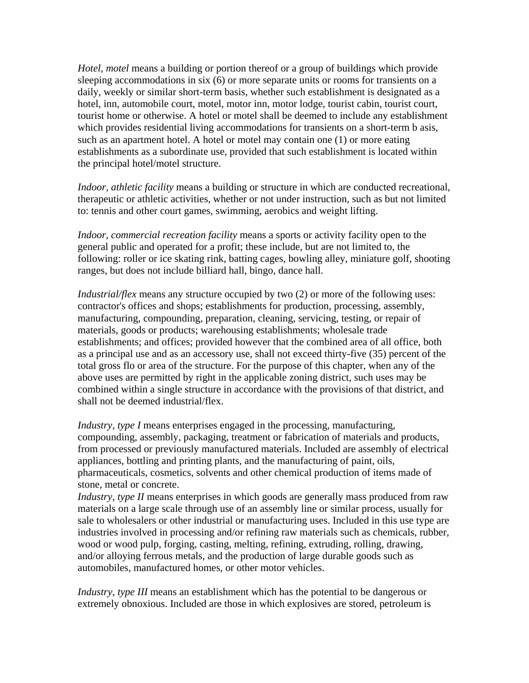*Hotel, motel* means a building or portion thereof or a group of buildings which provide sleeping accommodations in six (6) or more separate units or rooms for transients on a daily, weekly or similar short-term basis, whether such establishment is designated as a hotel, inn, automobile court, motel, motor inn, motor lodge, tourist cabin, tourist court, tourist home or otherwise. A hotel or motel shall be deemed to include any establishment which provides residential living accommodations for transients on a short-term b asis, such as an apartment hotel. A hotel or motel may contain one (1) or more eating establishments as a subordinate use, provided that such establishment is located within the principal hotel/motel structure.

*Indoor, athletic facility* means a building or structure in which are conducted recreational, therapeutic or athletic activities, whether or not under instruction, such as but not limited to: tennis and other court games, swimming, aerobics and weight lifting.

*Indoor, commercial recreation facility* means a sports or activity facility open to the general public and operated for a profit; these include, but are not limited to, the following: roller or ice skating rink, batting cages, bowling alley, miniature golf, shooting ranges, but does not include billiard hall, bingo, dance hall.

*Industrial/flex* means any structure occupied by two (2) or more of the following uses: contractor's offices and shops; establishments for production, processing, assembly, manufacturing, compounding, preparation, cleaning, servicing, testing, or repair of materials, goods or products; warehousing establishments; wholesale trade establishments; and offices; provided however that the combined area of all office, both as a principal use and as an accessory use, shall not exceed thirty-five (35) percent of the total gross flo or area of the structure. For the purpose of this chapter, when any of the above uses are permitted by right in the applicable zoning district, such uses may be combined within a single structure in accordance with the provisions of that district, and shall not be deemed industrial/flex.

*Industry, type I* means enterprises engaged in the processing, manufacturing, compounding, assembly, packaging, treatment or fabrication of materials and products, from processed or previously manufactured materials. Included are assembly of electrical appliances, bottling and printing plants, and the manufacturing of paint, oils, pharmaceuticals, cosmetics, solvents and other chemical production of items made of stone, metal or concrete.

*Industry, type II* means enterprises in which goods are generally mass produced from raw materials on a large scale through use of an assembly line or similar process, usually for sale to wholesalers or other industrial or manufacturing uses. Included in this use type are industries involved in processing and/or refining raw materials such as chemicals, rubber, wood or wood pulp, forging, casting, melting, refining, extruding, rolling, drawing, and/or alloying ferrous metals, and the production of large durable goods such as automobiles, manufactured homes, or other motor vehicles.

*Industry, type III* means an establishment which has the potential to be dangerous or extremely obnoxious. Included are those in which explosives are stored, petroleum is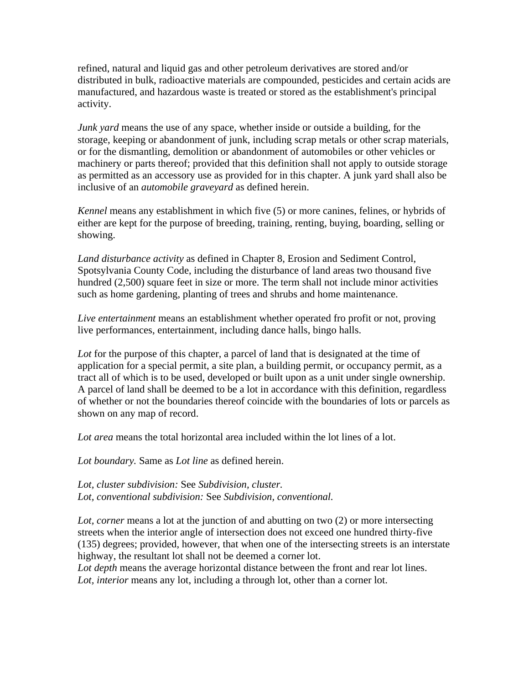refined, natural and liquid gas and other petroleum derivatives are stored and/or distributed in bulk, radioactive materials are compounded, pesticides and certain acids are manufactured, and hazardous waste is treated or stored as the establishment's principal activity.

*Junk yard* means the use of any space, whether inside or outside a building, for the storage, keeping or abandonment of junk, including scrap metals or other scrap materials, or for the dismantling, demolition or abandonment of automobiles or other vehicles or machinery or parts thereof; provided that this definition shall not apply to outside storage as permitted as an accessory use as provided for in this chapter. A junk yard shall also be inclusive of an *automobile graveyard* as defined herein.

*Kennel* means any establishment in which five (5) or more canines, felines, or hybrids of either are kept for the purpose of breeding, training, renting, buying, boarding, selling or showing.

*Land disturbance activity* as defined in Chapter 8, Erosion and Sediment Control, Spotsylvania County Code, including the disturbance of land areas two thousand five hundred (2,500) square feet in size or more. The term shall not include minor activities such as home gardening, planting of trees and shrubs and home maintenance.

*Live entertainment* means an establishment whether operated fro profit or not, proving live performances, entertainment, including dance halls, bingo halls.

Lot for the purpose of this chapter, a parcel of land that is designated at the time of application for a special permit, a site plan, a building permit, or occupancy permit, as a tract all of which is to be used, developed or built upon as a unit under single ownership. A parcel of land shall be deemed to be a lot in accordance with this definition, regardless of whether or not the boundaries thereof coincide with the boundaries of lots or parcels as shown on any map of record.

*Lot area* means the total horizontal area included within the lot lines of a lot.

*Lot boundary.* Same as *Lot line* as defined herein.

*Lot, cluster subdivision:* See *Subdivision, cluster. Lot, conventional subdivision:* See *Subdivision, conventional.* 

Lot, corner means a lot at the junction of and abutting on two (2) or more intersecting streets when the interior angle of intersection does not exceed one hundred thirty-five (135) degrees; provided, however, that when one of the intersecting streets is an interstate highway, the resultant lot shall not be deemed a corner lot.

Lot depth means the average horizontal distance between the front and rear lot lines. *Lot, interior* means any lot, including a through lot, other than a corner lot.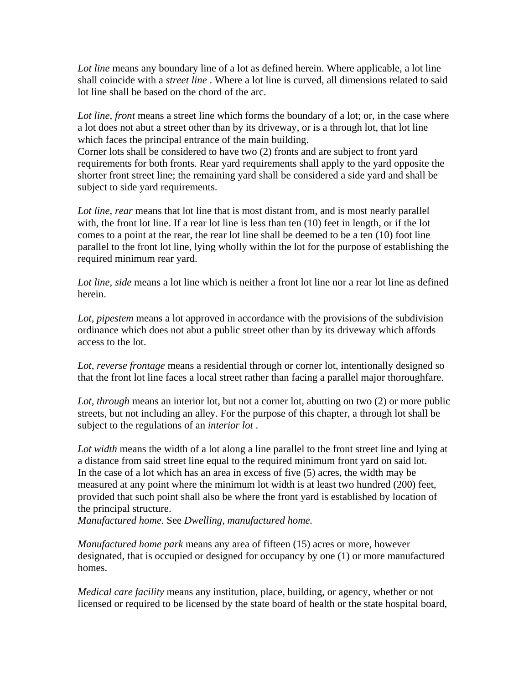*Lot line* means any boundary line of a lot as defined herein. Where applicable, a lot line shall coincide with a *street line* . Where a lot line is curved, all dimensions related to said lot line shall be based on the chord of the arc.

Lot line, front means a street line which forms the boundary of a lot; or, in the case where a lot does not abut a street other than by its driveway, or is a through lot, that lot line which faces the principal entrance of the main building.

Corner lots shall be considered to have two (2) fronts and are subject to front yard requirements for both fronts. Rear yard requirements shall apply to the yard opposite the shorter front street line; the remaining yard shall be considered a side yard and shall be subject to side yard requirements.

Lot line, rear means that lot line that is most distant from, and is most nearly parallel with, the front lot line. If a rear lot line is less than ten (10) feet in length, or if the lot comes to a point at the rear, the rear lot line shall be deemed to be a ten (10) foot line parallel to the front lot line, lying wholly within the lot for the purpose of establishing the required minimum rear yard.

*Lot line, side* means a lot line which is neither a front lot line nor a rear lot line as defined herein.

*Lot, pipestem* means a lot approved in accordance with the provisions of the subdivision ordinance which does not abut a public street other than by its driveway which affords access to the lot.

*Lot, reverse frontage* means a residential through or corner lot, intentionally designed so that the front lot line faces a local street rather than facing a parallel major thoroughfare.

*Lot, through* means an interior lot, but not a corner lot, abutting on two (2) or more public streets, but not including an alley. For the purpose of this chapter, a through lot shall be subject to the regulations of an *interior lot* .

Lot width means the width of a lot along a line parallel to the front street line and lying at a distance from said street line equal to the required minimum front yard on said lot. In the case of a lot which has an area in excess of five (5) acres, the width may be measured at any point where the minimum lot width is at least two hundred (200) feet, provided that such point shall also be where the front yard is established by location of the principal structure.

*Manufactured home.* See *Dwelling, manufactured home.* 

*Manufactured home park* means any area of fifteen (15) acres or more, however designated, that is occupied or designed for occupancy by one (1) or more manufactured homes.

*Medical care facility* means any institution, place, building, or agency, whether or not licensed or required to be licensed by the state board of health or the state hospital board,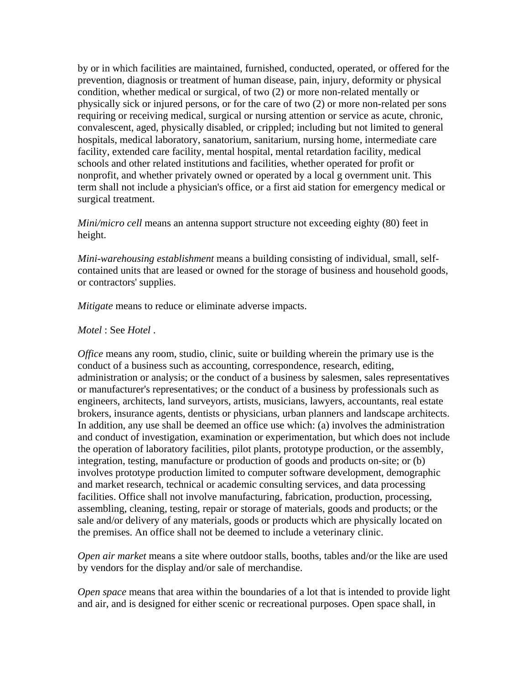by or in which facilities are maintained, furnished, conducted, operated, or offered for the prevention, diagnosis or treatment of human disease, pain, injury, deformity or physical condition, whether medical or surgical, of two (2) or more non-related mentally or physically sick or injured persons, or for the care of two (2) or more non-related per sons requiring or receiving medical, surgical or nursing attention or service as acute, chronic, convalescent, aged, physically disabled, or crippled; including but not limited to general hospitals, medical laboratory, sanatorium, sanitarium, nursing home, intermediate care facility, extended care facility, mental hospital, mental retardation facility, medical schools and other related institutions and facilities, whether operated for profit or nonprofit, and whether privately owned or operated by a local g overnment unit. This term shall not include a physician's office, or a first aid station for emergency medical or surgical treatment.

*Mini/micro cell* means an antenna support structure not exceeding eighty (80) feet in height.

*Mini-warehousing establishment* means a building consisting of individual, small, selfcontained units that are leased or owned for the storage of business and household goods, or contractors' supplies.

*Mitigate* means to reduce or eliminate adverse impacts.

#### *Motel* : See *Hotel* .

*Office* means any room, studio, clinic, suite or building wherein the primary use is the conduct of a business such as accounting, correspondence, research, editing, administration or analysis; or the conduct of a business by salesmen, sales representatives or manufacturer's representatives; or the conduct of a business by professionals such as engineers, architects, land surveyors, artists, musicians, lawyers, accountants, real estate brokers, insurance agents, dentists or physicians, urban planners and landscape architects. In addition, any use shall be deemed an office use which: (a) involves the administration and conduct of investigation, examination or experimentation, but which does not include the operation of laboratory facilities, pilot plants, prototype production, or the assembly, integration, testing, manufacture or production of goods and products on-site; or (b) involves prototype production limited to computer software development, demographic and market research, technical or academic consulting services, and data processing facilities. Office shall not involve manufacturing, fabrication, production, processing, assembling, cleaning, testing, repair or storage of materials, goods and products; or the sale and/or delivery of any materials, goods or products which are physically located on the premises. An office shall not be deemed to include a veterinary clinic.

*Open air market* means a site where outdoor stalls, booths, tables and/or the like are used by vendors for the display and/or sale of merchandise.

*Open space* means that area within the boundaries of a lot that is intended to provide light and air, and is designed for either scenic or recreational purposes. Open space shall, in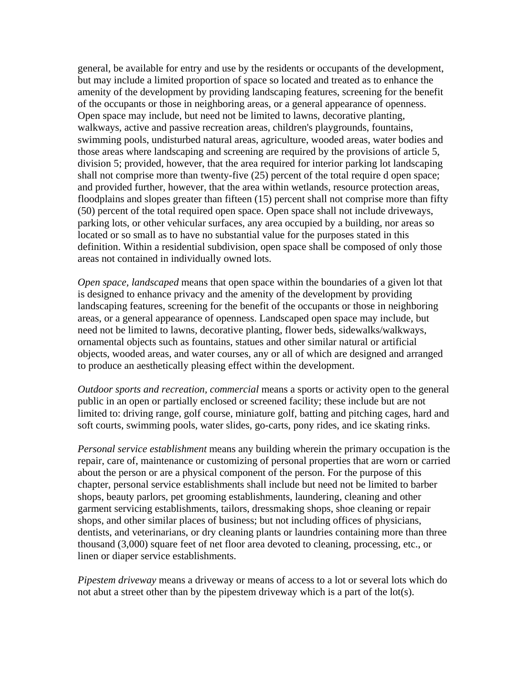general, be available for entry and use by the residents or occupants of the development, but may include a limited proportion of space so located and treated as to enhance the amenity of the development by providing landscaping features, screening for the benefit of the occupants or those in neighboring areas, or a general appearance of openness. Open space may include, but need not be limited to lawns, decorative planting, walkways, active and passive recreation areas, children's playgrounds, fountains, swimming pools, undisturbed natural areas, agriculture, wooded areas, water bodies and those areas where landscaping and screening are required by the provisions of article 5, division 5; provided, however, that the area required for interior parking lot landscaping shall not comprise more than twenty-five (25) percent of the total require d open space; and provided further, however, that the area within wetlands, resource protection areas, floodplains and slopes greater than fifteen (15) percent shall not comprise more than fifty (50) percent of the total required open space. Open space shall not include driveways, parking lots, or other vehicular surfaces, any area occupied by a building, nor areas so located or so small as to have no substantial value for the purposes stated in this definition. Within a residential subdivision, open space shall be composed of only those areas not contained in individually owned lots.

*Open space, landscaped* means that open space within the boundaries of a given lot that is designed to enhance privacy and the amenity of the development by providing landscaping features, screening for the benefit of the occupants or those in neighboring areas, or a general appearance of openness. Landscaped open space may include, but need not be limited to lawns, decorative planting, flower beds, sidewalks/walkways, ornamental objects such as fountains, statues and other similar natural or artificial objects, wooded areas, and water courses, any or all of which are designed and arranged to produce an aesthetically pleasing effect within the development.

*Outdoor sports and recreation, commercial* means a sports or activity open to the general public in an open or partially enclosed or screened facility; these include but are not limited to: driving range, golf course, miniature golf, batting and pitching cages, hard and soft courts, swimming pools, water slides, go-carts, pony rides, and ice skating rinks.

*Personal service establishment* means any building wherein the primary occupation is the repair, care of, maintenance or customizing of personal properties that are worn or carried about the person or are a physical component of the person. For the purpose of this chapter, personal service establishments shall include but need not be limited to barber shops, beauty parlors, pet grooming establishments, laundering, cleaning and other garment servicing establishments, tailors, dressmaking shops, shoe cleaning or repair shops, and other similar places of business; but not including offices of physicians, dentists, and veterinarians, or dry cleaning plants or laundries containing more than three thousand (3,000) square feet of net floor area devoted to cleaning, processing, etc., or linen or diaper service establishments.

*Pipestem driveway* means a driveway or means of access to a lot or several lots which do not abut a street other than by the pipestem driveway which is a part of the lot(s).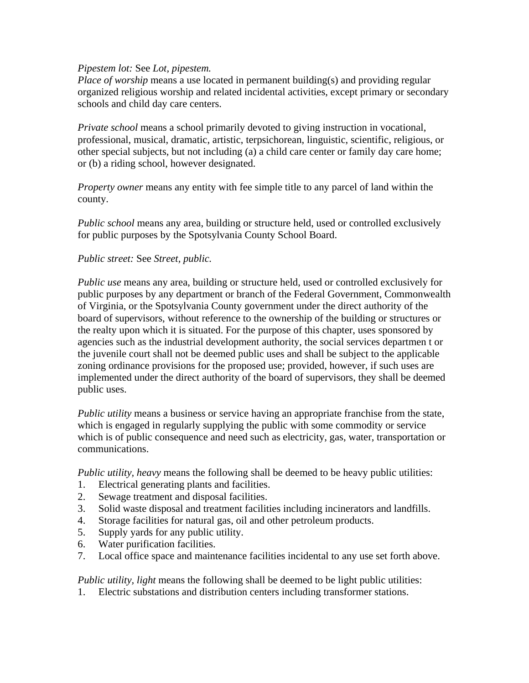#### *Pipestem lot:* See *Lot, pipestem.*

*Place of worship* means a use located in permanent building(s) and providing regular organized religious worship and related incidental activities, except primary or secondary schools and child day care centers.

*Private school* means a school primarily devoted to giving instruction in vocational, professional, musical, dramatic, artistic, terpsichorean, linguistic, scientific, religious, or other special subjects, but not including (a) a child care center or family day care home; or (b) a riding school, however designated.

*Property owner* means any entity with fee simple title to any parcel of land within the county.

*Public school* means any area, building or structure held, used or controlled exclusively for public purposes by the Spotsylvania County School Board.

#### *Public street:* See *Street, public.*

*Public use* means any area, building or structure held, used or controlled exclusively for public purposes by any department or branch of the Federal Government, Commonwealth of Virginia, or the Spotsylvania County government under the direct authority of the board of supervisors, without reference to the ownership of the building or structures or the realty upon which it is situated. For the purpose of this chapter, uses sponsored by agencies such as the industrial development authority, the social services departmen t or the juvenile court shall not be deemed public uses and shall be subject to the applicable zoning ordinance provisions for the proposed use; provided, however, if such uses are implemented under the direct authority of the board of supervisors, they shall be deemed public uses.

*Public utility* means a business or service having an appropriate franchise from the state, which is engaged in regularly supplying the public with some commodity or service which is of public consequence and need such as electricity, gas, water, transportation or communications.

*Public utility, heavy* means the following shall be deemed to be heavy public utilities:

- 1. Electrical generating plants and facilities.
- 2. Sewage treatment and disposal facilities.
- 3. Solid waste disposal and treatment facilities including incinerators and landfills.
- 4. Storage facilities for natural gas, oil and other petroleum products.
- 5. Supply yards for any public utility.
- 6. Water purification facilities.
- 7. Local office space and maintenance facilities incidental to any use set forth above.

*Public utility, light* means the following shall be deemed to be light public utilities:

1. Electric substations and distribution centers including transformer stations.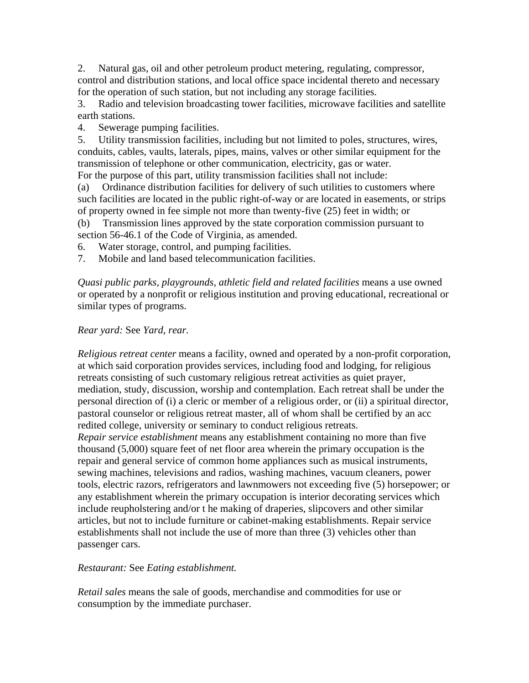2. Natural gas, oil and other petroleum product metering, regulating, compressor, control and distribution stations, and local office space incidental thereto and necessary for the operation of such station, but not including any storage facilities.

3. Radio and television broadcasting tower facilities, microwave facilities and satellite earth stations.

4. Sewerage pumping facilities.

5. Utility transmission facilities, including but not limited to poles, structures, wires, conduits, cables, vaults, laterals, pipes, mains, valves or other similar equipment for the transmission of telephone or other communication, electricity, gas or water. For the purpose of this part, utility transmission facilities shall not include:

(a) Ordinance distribution facilities for delivery of such utilities to customers where such facilities are located in the public right-of-way or are located in easements, or strips of property owned in fee simple not more than twenty-five (25) feet in width; or

(b) Transmission lines approved by the state corporation commission pursuant to section 56-46.1 of the Code of Virginia, as amended.

- 6. Water storage, control, and pumping facilities.
- 7. Mobile and land based telecommunication facilities.

*Quasi public parks, playgrounds, athletic field and related facilities* means a use owned or operated by a nonprofit or religious institution and proving educational, recreational or similar types of programs.

## *Rear yard:* See *Yard, rear.*

*Religious retreat center* means a facility, owned and operated by a non-profit corporation, at which said corporation provides services, including food and lodging, for religious retreats consisting of such customary religious retreat activities as quiet prayer, mediation, study, discussion, worship and contemplation. Each retreat shall be under the personal direction of (i) a cleric or member of a religious order, or (ii) a spiritual director, pastoral counselor or religious retreat master, all of whom shall be certified by an acc redited college, university or seminary to conduct religious retreats.

*Repair service establishment* means any establishment containing no more than five thousand (5,000) square feet of net floor area wherein the primary occupation is the repair and general service of common home appliances such as musical instruments, sewing machines, televisions and radios, washing machines, vacuum cleaners, power tools, electric razors, refrigerators and lawnmowers not exceeding five (5) horsepower; or any establishment wherein the primary occupation is interior decorating services which include reupholstering and/or t he making of draperies, slipcovers and other similar articles, but not to include furniture or cabinet-making establishments. Repair service establishments shall not include the use of more than three (3) vehicles other than passenger cars.

## *Restaurant:* See *Eating establishment.*

*Retail sales* means the sale of goods, merchandise and commodities for use or consumption by the immediate purchaser.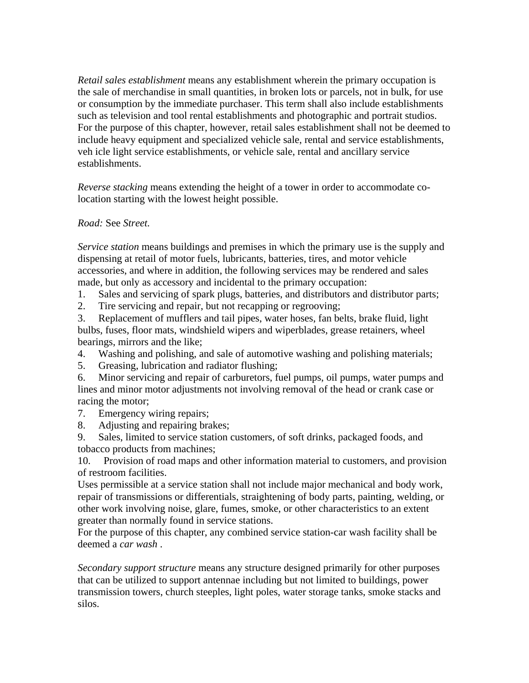*Retail sales establishment* means any establishment wherein the primary occupation is the sale of merchandise in small quantities, in broken lots or parcels, not in bulk, for use or consumption by the immediate purchaser. This term shall also include establishments such as television and tool rental establishments and photographic and portrait studios. For the purpose of this chapter, however, retail sales establishment shall not be deemed to include heavy equipment and specialized vehicle sale, rental and service establishments, veh icle light service establishments, or vehicle sale, rental and ancillary service establishments.

*Reverse stacking* means extending the height of a tower in order to accommodate colocation starting with the lowest height possible.

## *Road:* See *Street.*

*Service station* means buildings and premises in which the primary use is the supply and dispensing at retail of motor fuels, lubricants, batteries, tires, and motor vehicle accessories, and where in addition, the following services may be rendered and sales made, but only as accessory and incidental to the primary occupation:

1. Sales and servicing of spark plugs, batteries, and distributors and distributor parts;

2. Tire servicing and repair, but not recapping or regrooving;

3. Replacement of mufflers and tail pipes, water hoses, fan belts, brake fluid, light bulbs, fuses, floor mats, windshield wipers and wiperblades, grease retainers, wheel bearings, mirrors and the like;

4. Washing and polishing, and sale of automotive washing and polishing materials;

5. Greasing, lubrication and radiator flushing;

6. Minor servicing and repair of carburetors, fuel pumps, oil pumps, water pumps and lines and minor motor adjustments not involving removal of the head or crank case or racing the motor;

7. Emergency wiring repairs;

8. Adjusting and repairing brakes;

9. Sales, limited to service station customers, of soft drinks, packaged foods, and tobacco products from machines;

10. Provision of road maps and other information material to customers, and provision of restroom facilities.

Uses permissible at a service station shall not include major mechanical and body work, repair of transmissions or differentials, straightening of body parts, painting, welding, or other work involving noise, glare, fumes, smoke, or other characteristics to an extent greater than normally found in service stations.

For the purpose of this chapter, any combined service station-car wash facility shall be deemed a *car wash* .

*Secondary support structure* means any structure designed primarily for other purposes that can be utilized to support antennae including but not limited to buildings, power transmission towers, church steeples, light poles, water storage tanks, smoke stacks and silos.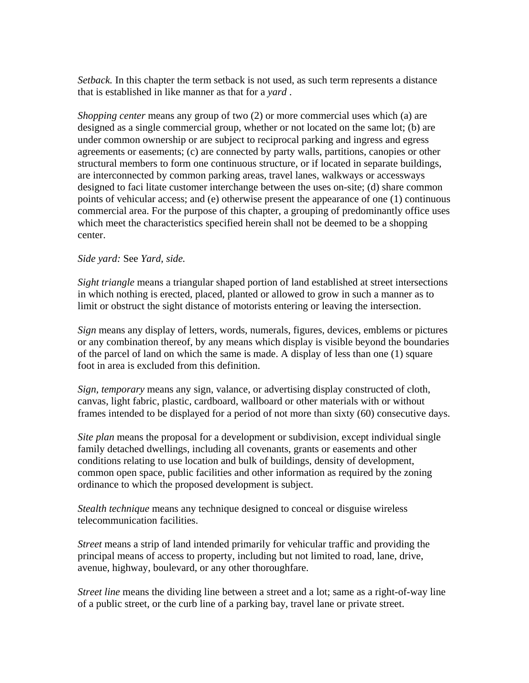*Setback.* In this chapter the term setback is not used, as such term represents a distance that is established in like manner as that for a *yard* .

*Shopping center* means any group of two (2) or more commercial uses which (a) are designed as a single commercial group, whether or not located on the same lot; (b) are under common ownership or are subject to reciprocal parking and ingress and egress agreements or easements; (c) are connected by party walls, partitions, canopies or other structural members to form one continuous structure, or if located in separate buildings, are interconnected by common parking areas, travel lanes, walkways or accessways designed to faci litate customer interchange between the uses on-site; (d) share common points of vehicular access; and (e) otherwise present the appearance of one (1) continuous commercial area. For the purpose of this chapter, a grouping of predominantly office uses which meet the characteristics specified herein shall not be deemed to be a shopping center.

### *Side yard:* See *Yard, side.*

*Sight triangle* means a triangular shaped portion of land established at street intersections in which nothing is erected, placed, planted or allowed to grow in such a manner as to limit or obstruct the sight distance of motorists entering or leaving the intersection.

*Sign* means any display of letters, words, numerals, figures, devices, emblems or pictures or any combination thereof, by any means which display is visible beyond the boundaries of the parcel of land on which the same is made. A display of less than one (1) square foot in area is excluded from this definition.

*Sign, temporary* means any sign, valance, or advertising display constructed of cloth, canvas, light fabric, plastic, cardboard, wallboard or other materials with or without frames intended to be displayed for a period of not more than sixty (60) consecutive days.

*Site plan* means the proposal for a development or subdivision, except individual single family detached dwellings, including all covenants, grants or easements and other conditions relating to use location and bulk of buildings, density of development, common open space, public facilities and other information as required by the zoning ordinance to which the proposed development is subject.

*Stealth technique* means any technique designed to conceal or disguise wireless telecommunication facilities.

*Street* means a strip of land intended primarily for vehicular traffic and providing the principal means of access to property, including but not limited to road, lane, drive, avenue, highway, boulevard, or any other thoroughfare.

*Street line* means the dividing line between a street and a lot; same as a right-of-way line of a public street, or the curb line of a parking bay, travel lane or private street.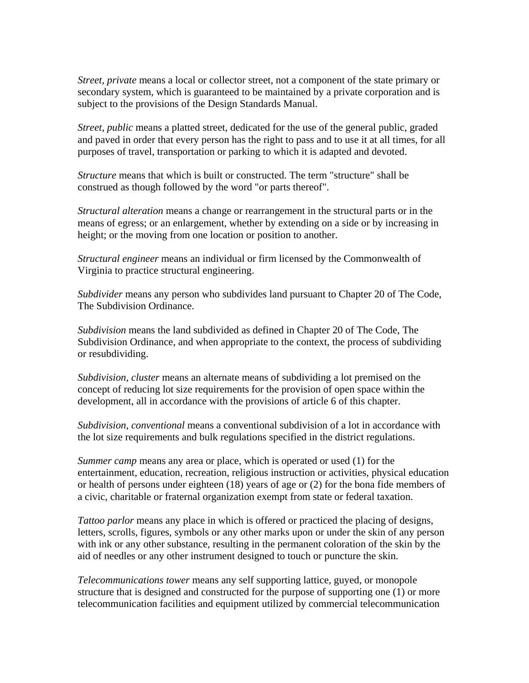*Street, private* means a local or collector street, not a component of the state primary or secondary system, which is guaranteed to be maintained by a private corporation and is subject to the provisions of the Design Standards Manual.

*Street, public* means a platted street, dedicated for the use of the general public, graded and paved in order that every person has the right to pass and to use it at all times, for all purposes of travel, transportation or parking to which it is adapted and devoted.

*Structure* means that which is built or constructed. The term "structure" shall be construed as though followed by the word "or parts thereof".

*Structural alteration* means a change or rearrangement in the structural parts or in the means of egress; or an enlargement, whether by extending on a side or by increasing in height; or the moving from one location or position to another.

*Structural engineer* means an individual or firm licensed by the Commonwealth of Virginia to practice structural engineering.

*Subdivider* means any person who subdivides land pursuant to Chapter 20 of The Code, The Subdivision Ordinance.

*Subdivision* means the land subdivided as defined in Chapter 20 of The Code, The Subdivision Ordinance, and when appropriate to the context, the process of subdividing or resubdividing.

*Subdivision, cluster* means an alternate means of subdividing a lot premised on the concept of reducing lot size requirements for the provision of open space within the development, all in accordance with the provisions of article 6 of this chapter.

*Subdivision, conventional* means a conventional subdivision of a lot in accordance with the lot size requirements and bulk regulations specified in the district regulations.

*Summer camp* means any area or place, which is operated or used (1) for the entertainment, education, recreation, religious instruction or activities, physical education or health of persons under eighteen (18) years of age or (2) for the bona fide members of a civic, charitable or fraternal organization exempt from state or federal taxation.

*Tattoo parlor* means any place in which is offered or practiced the placing of designs, letters, scrolls, figures, symbols or any other marks upon or under the skin of any person with ink or any other substance, resulting in the permanent coloration of the skin by the aid of needles or any other instrument designed to touch or puncture the skin.

*Telecommunications tower* means any self supporting lattice, guyed, or monopole structure that is designed and constructed for the purpose of supporting one (1) or more telecommunication facilities and equipment utilized by commercial telecommunication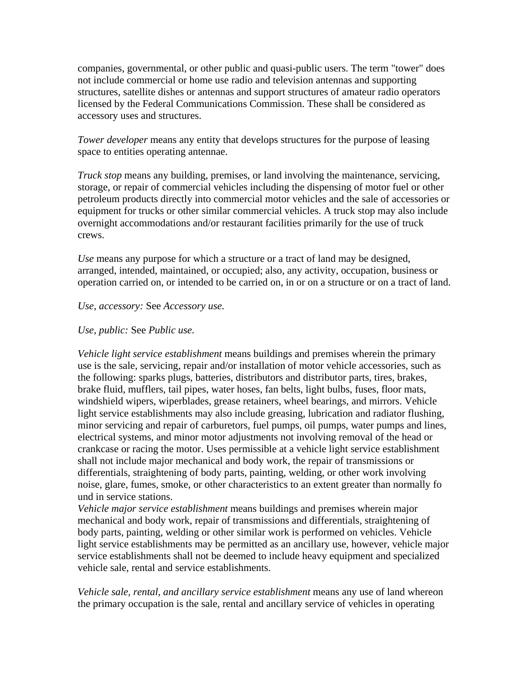companies, governmental, or other public and quasi-public users. The term "tower" does not include commercial or home use radio and television antennas and supporting structures, satellite dishes or antennas and support structures of amateur radio operators licensed by the Federal Communications Commission. These shall be considered as accessory uses and structures.

*Tower developer* means any entity that develops structures for the purpose of leasing space to entities operating antennae.

*Truck stop* means any building, premises, or land involving the maintenance, servicing, storage, or repair of commercial vehicles including the dispensing of motor fuel or other petroleum products directly into commercial motor vehicles and the sale of accessories or equipment for trucks or other similar commercial vehicles. A truck stop may also include overnight accommodations and/or restaurant facilities primarily for the use of truck crews.

*Use* means any purpose for which a structure or a tract of land may be designed, arranged, intended, maintained, or occupied; also, any activity, occupation, business or operation carried on, or intended to be carried on, in or on a structure or on a tract of land.

#### *Use, accessory:* See *Accessory use.*

#### *Use, public:* See *Public use.*

*Vehicle light service establishment* means buildings and premises wherein the primary use is the sale, servicing, repair and/or installation of motor vehicle accessories, such as the following: sparks plugs, batteries, distributors and distributor parts, tires, brakes, brake fluid, mufflers, tail pipes, water hoses, fan belts, light bulbs, fuses, floor mats, windshield wipers, wiperblades, grease retainers, wheel bearings, and mirrors. Vehicle light service establishments may also include greasing, lubrication and radiator flushing, minor servicing and repair of carburetors, fuel pumps, oil pumps, water pumps and lines, electrical systems, and minor motor adjustments not involving removal of the head or crankcase or racing the motor. Uses permissible at a vehicle light service establishment shall not include major mechanical and body work, the repair of transmissions or differentials, straightening of body parts, painting, welding, or other work involving noise, glare, fumes, smoke, or other characteristics to an extent greater than normally fo und in service stations.

*Vehicle major service establishment* means buildings and premises wherein major mechanical and body work, repair of transmissions and differentials, straightening of body parts, painting, welding or other similar work is performed on vehicles. Vehicle light service establishments may be permitted as an ancillary use, however, vehicle major service establishments shall not be deemed to include heavy equipment and specialized vehicle sale, rental and service establishments.

*Vehicle sale, rental, and ancillary service establishment* means any use of land whereon the primary occupation is the sale, rental and ancillary service of vehicles in operating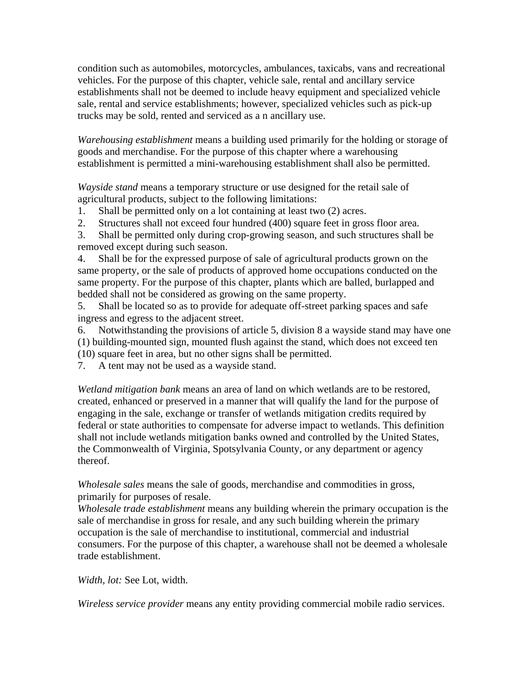condition such as automobiles, motorcycles, ambulances, taxicabs, vans and recreational vehicles. For the purpose of this chapter, vehicle sale, rental and ancillary service establishments shall not be deemed to include heavy equipment and specialized vehicle sale, rental and service establishments; however, specialized vehicles such as pick-up trucks may be sold, rented and serviced as a n ancillary use.

*Warehousing establishment* means a building used primarily for the holding or storage of goods and merchandise. For the purpose of this chapter where a warehousing establishment is permitted a mini-warehousing establishment shall also be permitted.

*Wayside stand* means a temporary structure or use designed for the retail sale of agricultural products, subject to the following limitations:

1. Shall be permitted only on a lot containing at least two (2) acres.

2. Structures shall not exceed four hundred (400) square feet in gross floor area.

3. Shall be permitted only during crop-growing season, and such structures shall be removed except during such season.

4. Shall be for the expressed purpose of sale of agricultural products grown on the same property, or the sale of products of approved home occupations conducted on the same property. For the purpose of this chapter, plants which are balled, burlapped and bedded shall not be considered as growing on the same property.

5. Shall be located so as to provide for adequate off-street parking spaces and safe ingress and egress to the adjacent street.

6. Notwithstanding the provisions of article 5, division 8 a wayside stand may have one (1) building-mounted sign, mounted flush against the stand, which does not exceed ten (10) square feet in area, but no other signs shall be permitted.

7. A tent may not be used as a wayside stand.

*Wetland mitigation bank* means an area of land on which wetlands are to be restored, created, enhanced or preserved in a manner that will qualify the land for the purpose of engaging in the sale, exchange or transfer of wetlands mitigation credits required by federal or state authorities to compensate for adverse impact to wetlands. This definition shall not include wetlands mitigation banks owned and controlled by the United States, the Commonwealth of Virginia, Spotsylvania County, or any department or agency thereof.

*Wholesale sales* means the sale of goods, merchandise and commodities in gross, primarily for purposes of resale.

*Wholesale trade establishment* means any building wherein the primary occupation is the sale of merchandise in gross for resale, and any such building wherein the primary occupation is the sale of merchandise to institutional, commercial and industrial consumers. For the purpose of this chapter, a warehouse shall not be deemed a wholesale trade establishment.

*Width, lot:* See Lot, width.

*Wireless service provider* means any entity providing commercial mobile radio services.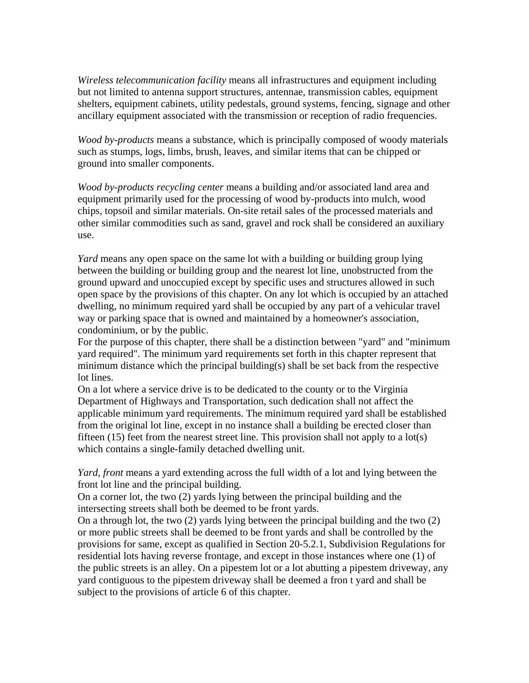*Wireless telecommunication facility* means all infrastructures and equipment including but not limited to antenna support structures, antennae, transmission cables, equipment shelters, equipment cabinets, utility pedestals, ground systems, fencing, signage and other ancillary equipment associated with the transmission or reception of radio frequencies.

*Wood by-products* means a substance, which is principally composed of woody materials such as stumps, logs, limbs, brush, leaves, and similar items that can be chipped or ground into smaller components.

*Wood by-products recycling center* means a building and/or associated land area and equipment primarily used for the processing of wood by-products into mulch, wood chips, topsoil and similar materials. On-site retail sales of the processed materials and other similar commodities such as sand, gravel and rock shall be considered an auxiliary use.

*Yard* means any open space on the same lot with a building or building group lying between the building or building group and the nearest lot line, unobstructed from the ground upward and unoccupied except by specific uses and structures allowed in such open space by the provisions of this chapter. On any lot which is occupied by an attached dwelling, no minimum required yard shall be occupied by any part of a vehicular travel way or parking space that is owned and maintained by a homeowner's association, condominium, or by the public.

For the purpose of this chapter, there shall be a distinction between "yard" and "minimum yard required". The minimum yard requirements set forth in this chapter represent that minimum distance which the principal building(s) shall be set back from the respective lot lines.

On a lot where a service drive is to be dedicated to the county or to the Virginia Department of Highways and Transportation, such dedication shall not affect the applicable minimum yard requirements. The minimum required yard shall be established from the original lot line, except in no instance shall a building be erected closer than fifteen  $(15)$  feet from the nearest street line. This provision shall not apply to a lot(s) which contains a single-family detached dwelling unit.

*Yard, front* means a yard extending across the full width of a lot and lying between the front lot line and the principal building.

On a corner lot, the two (2) yards lying between the principal building and the intersecting streets shall both be deemed to be front yards.

On a through lot, the two (2) yards lying between the principal building and the two (2) or more public streets shall be deemed to be front yards and shall be controlled by the provisions for same, except as qualified in Section 20-5.2.1, Subdivision Regulations for residential lots having reverse frontage, and except in those instances where one (1) of the public streets is an alley. On a pipestem lot or a lot abutting a pipestem driveway, any yard contiguous to the pipestem driveway shall be deemed a fron t yard and shall be subject to the provisions of article 6 of this chapter.